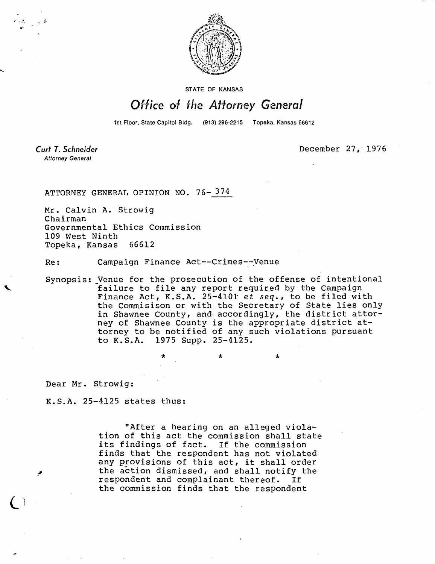

**STATE OF KANSAS** 

## Office of the Attorney General

1st Floor, State Capitol Bldg. (913) 296-2215 Topeka, Kansas 66612

Curt T. Schneider **Attorney General** 

December 27, 1976

ATTORNEY GENERAL OPINION NO. 76-374

Mr. Calvin A. Strowig Chairman Governmental Ethics Commission 109 West Ninth Topeka, Kansas 66612

Re: Campaign Finance Act--Crimes--Venue

Synopsis: Venue for the prosecution of the offense of intentional failure to file any report required by the Campaign Finance Act, K.S.A. 25-4101 et seq., to be filed with the Commisison or with the Secretary of State lies only in Shawnee County, and accordingly, the district attorney of Shawnee County is the appropriate district attorney to be notified of any such violations pursuant to K.S.A. 1975 Supp. 25-4125.

\* \*

Dear Mr. Strowig:

K.S.A. 25-4125 states thus:

"After a hearing on an alleged violation of this act the commission shall state<br>its findings of fact. If the commission its findings of fact. finds that the respondent has not violated any provisions of this act, it shall order the action dismissed, and shall notify the respondent and complainant thereof. If the commission finds that the respondent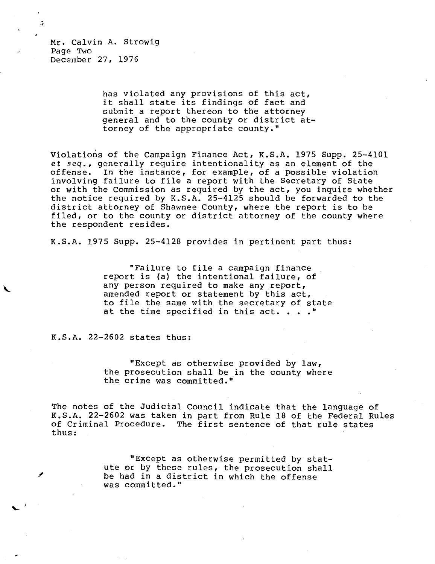Mr. Calvin A. Strowig Page Two December 27, 1976

÷

has violated any provisions of this act, it shall state its findings of fact and submit a report thereon to the attorney general and to the county or district attorney of the appropriate county."

Violations of the Campaign Finance Act, K.S.A. 1975 Supp. 25-4101 et seq., generally require intentionality as an element of the offense. In the instance, for example, of a possible violation involving failure to file a report with the Secretary of State or with the Commission as required by the act, you inquire whether the notice required by K.S.A. 25-4125 should be forwarded to the district attorney of Shawnee County, where the report is to be filed, or to the county or district attorney of the county where the respondent resides.

K.S.A. 1975 Supp. 25-4128 provides in pertinent part thus:

"Failure to file a campaign finance report is (a) the intentional failure, of any person required to make any report, amended report or statement by this act, to file the same with the secretary of state at the time specified in this act. . . ."

K.S.A. 22-2602 states thus:

"Except as otherwise provided by law, the prosecution shall be in the county where the crime was committed."

The notes of the Judicial Council indicate that the language of K.S.A. 22-2602 was taken in part from Rule 18 of the Federal Rules of Criminal Procedure. The first sentence of that rule states thus:

> "Except as otherwise permitted by statute or by these rules, the prosecution shall be had in a district in which the offense was committed."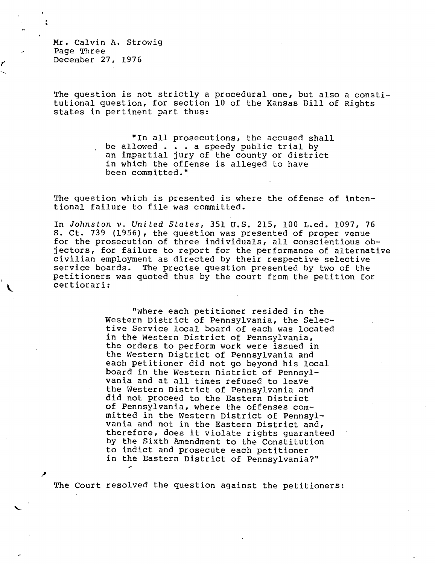Mr. Calvin A. Strowig Page Three December 27, 1976

The question is not strictly a procedural one, but also a constitutional question, for section 10 of the Kansas Bill of Rights states in pertinent part thus:

> "In all prosecutions, the accused shall be allowed . . . a speedy public trial by an impartial jury of the county or district in which the offense is alleged to have been committed."

The question which is presented is where the offense of intentional failure to file was committed.

In Johnston v. United States, 351 U.S. 215, 100 L.ed. 1097, 76 S. Ct. 739 (1956), the question was presented of proper venue for the prosecution of three individuals, all conscientious objectors, for failure to report for the performance of alternative civilian employment as directed by their respective selective service boards. The precise question presented by two of the petitioners was quoted thus by the court from the petition for certiorari:

> "Where each petitioner resided in the Western District of Pennsylvania, the Selective Service local board of each was located **in** the Western District of Pennsylvania, the orders to perform work were issued in the Western District of Pennsylvania and each petitioner did not go beyond his local board in the Western District of Pennsylvania and at all times refused to leave the Western District of Pennsylvania and did not proceed to the Eastern District of Pennsylvania, where the offenses committed in the Western District of Pennsylvania and not in the Eastern District and, therefore, does it violate rights guaranteed by the Sixth Amendment to the Constitution to indict and prosecute each petitioner in the Eastern District of Pennsylvania?"

The Court resolved the question against the petitioners: